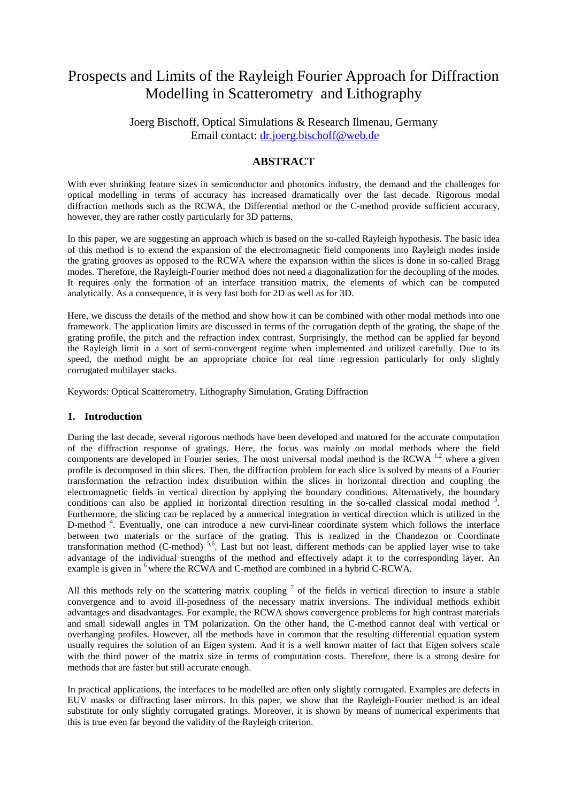# Prospects and Limits of the Rayleigh Fourier Approach for Diffraction Modelling in Scatterometry and Lithography

Joerg Bischoff, Optical Simulations & Research Ilmenau, Germany Email contact: dr.joerg.bischoff@web.de

# **ABSTRACT**

With ever shrinking feature sizes in semiconductor and photonics industry, the demand and the challenges for optical modelling in terms of accuracy has increased dramatically over the last decade. Rigorous modal diffraction methods such as the RCWA, the Differential method or the C-method provide sufficient accuracy, however, they are rather costly particularly for 3D patterns.

In this paper, we are suggesting an approach which is based on the so-called Rayleigh hypothesis. The basic idea of this method is to extend the expansion of the electromagnetic field components into Rayleigh modes inside the grating grooves as opposed to the RCWA where the expansion within the slices is done in so-called Bragg modes. Therefore, the Rayleigh-Fourier method does not need a diagonalization for the decoupling of the modes. It requires only the formation of an interface transition matrix, the elements of which can be computed analytically. As a consequence, it is very fast both for 2D as well as for 3D.

Here, we discuss the details of the method and show how it can be combined with other modal methods into one framework. The application limits are discussed in terms of the corrugation depth of the grating, the shape of the grating profile, the pitch and the refraction index contrast. Surprisingly, the method can be applied far beyond the Rayleigh limit in a sort of semi-convergent regime when implemented and utilized carefully. Due to its speed, the method might be an appropriate choice for real time regression particularly for only slightly corrugated multilayer stacks.

Keywords: Optical Scatterometry, Lithography Simulation, Grating Diffraction

### **1. Introduction**

During the last decade, several rigorous methods have been developed and matured for the accurate computation of the diffraction response of gratings. Here, the focus was mainly on modal methods where the field components are developed in Fourier series. The most universal modal method is the RCWA <sup>1,2</sup> where a given profile is decomposed in thin slices. Then, the diffraction problem for each slice is solved by means of a Fourier transformation the refraction index distribution within the slices in horizontal direction and coupling the electromagnetic fields in vertical direction by applying the boundary conditions. Alternatively, the boundary conditions can also be applied in horizontal direction resulting in the so-called classical modal method  $3$ . Furthermore, the slicing can be replaced by a numerical integration in vertical direction which is utilized in the D-method<sup>4</sup>. Eventually, one can introduce a new curvi-linear coordinate system which follows the interface between two materials or the surface of the grating. This is realized in the Chandezon or Coordinate transformation method (C-method)<sup>5,6</sup>. Last but not least, different methods can be applied layer wise to take advantage of the individual strengths of the method and effectively adapt it to the corresponding layer. An example is given in <sup>6</sup> where the RCWA and C-method are combined in a hybrid C-RCWA.

All this methods rely on the scattering matrix coupling  $\frac{7}{1}$  of the fields in vertical direction to insure a stable convergence and to avoid ill-posedness of the necessary matrix inversions. The individual methods exhibit advantages and disadvantages. For example, the RCWA shows convergence problems for high contrast materials and small sidewall angles in TM polarization. On the other hand, the C-method cannot deal with vertical or overhanging profiles. However, all the methods have in common that the resulting differential equation system usually requires the solution of an Eigen system. And it is a well known matter of fact that Eigen solvers scale with the third power of the matrix size in terms of computation costs. Therefore, there is a strong desire for methods that are faster but still accurate enough.

In practical applications, the interfaces to be modelled are often only slightly corrugated. Examples are defects in EUV masks or diffracting laser mirrors. In this paper, we show that the Rayleigh-Fourier method is an ideal substitute for only slightly corrugated gratings. Moreover, it is shown by means of numerical experiments that this is true even far beyond the validity of the Rayleigh criterion.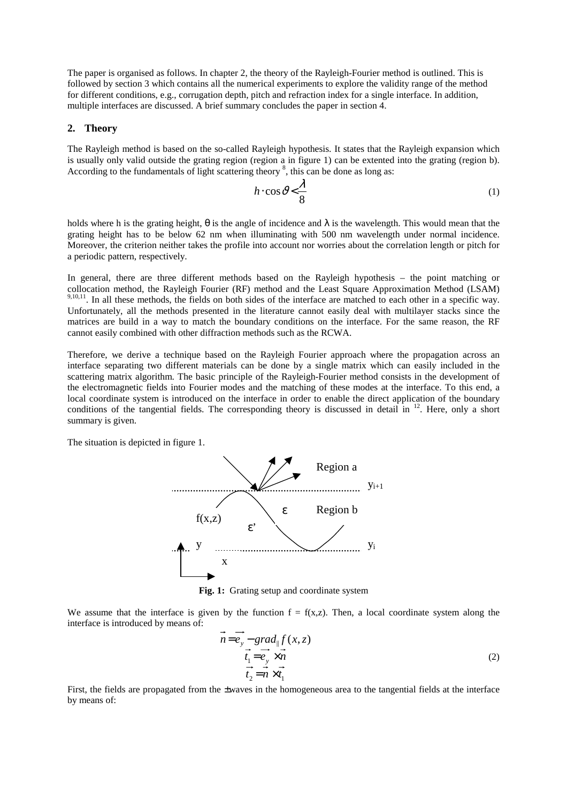The paper is organised as follows. In chapter 2, the theory of the Rayleigh-Fourier method is outlined. This is followed by section 3 which contains all the numerical experiments to explore the validity range of the method for different conditions, e.g., corrugation depth, pitch and refraction index for a single interface. In addition, multiple interfaces are discussed. A brief summary concludes the paper in section 4.

#### **2. Theory**

The Rayleigh method is based on the so-called Rayleigh hypothesis. It states that the Rayleigh expansion which is usually only valid outside the grating region (region a in figure 1) can be extented into the grating (region b). According to the fundamentals of light scattering theory  $\delta$ , this can be done as long as:

$$
h \cdot \cos \vartheta < \frac{\lambda}{8} \tag{1}
$$

holds where h is the grating height,  $\theta$  is the angle of incidence and  $\lambda$  is the wavelength. This would mean that the grating height has to be below 62 nm when illuminating with 500 nm wavelength under normal incidence. Moreover, the criterion neither takes the profile into account nor worries about the correlation length or pitch for a periodic pattern, respectively.

In general, there are three different methods based on the Rayleigh hypothesis – the point matching or collocation method, the Rayleigh Fourier (RF) method and the Least Square Approximation Method (LSAM)  $9,10,11$ . In all these methods, the fields on both sides of the interface are matched to each other in a specific way. Unfortunately, all the methods presented in the literature cannot easily deal with multilayer stacks since the matrices are build in a way to match the boundary conditions on the interface. For the same reason, the RF cannot easily combined with other diffraction methods such as the RCWA.

Therefore, we derive a technique based on the Rayleigh Fourier approach where the propagation across an interface separating two different materials can be done by a single matrix which can easily included in the scattering matrix algorithm. The basic principle of the Rayleigh-Fourier method consists in the development of the electromagnetic fields into Fourier modes and the matching of these modes at the interface. To this end, a local coordinate system is introduced on the interface in order to enable the direct application of the boundary conditions of the tangential fields. The corresponding theory is discussed in detail in  $12$ . Here, only a short summary is given.

The situation is depicted in figure 1.



**Fig. 1:** Grating setup and coordinate system

We assume that the interface is given by the function  $f = f(x,z)$ . Then, a local coordinate system along the interface is introduced by means of:

$$
n = e_y - \operatorname{grad}_{\parallel} f(x, z)
$$
  
\n
$$
\vec{t}_1 = \vec{e}_y \times \vec{n}
$$
  
\n
$$
\vec{t}_2 = \vec{n} \times \vec{t}_1
$$
\n(2)

First, the fields are propagated from the ±waves in the homogeneous area to the tangential fields at the interface by means of: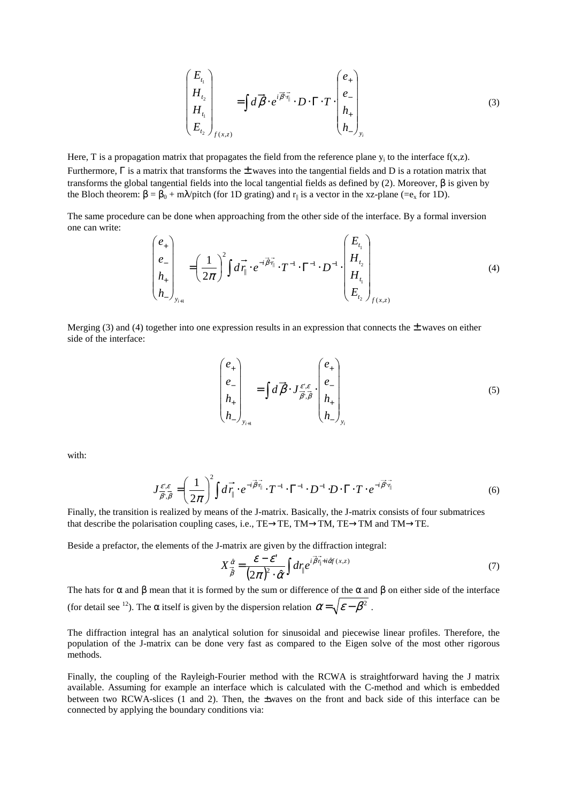$$
\begin{pmatrix}\nE_{t_1} \\
H_{t_2} \\
H_{t_1} \\
E_{t_2}\n\end{pmatrix}_{f(x,z)} = \int d\vec{\beta} \cdot e^{i\vec{\beta} \cdot \vec{r}_{\parallel}} \cdot D \cdot \Gamma \cdot T \cdot \begin{pmatrix} e_+ \\ e_- \\ h_+ \\ h_+ \\ h_- \end{pmatrix}_{y_i}
$$
\n(3)

Here, T is a propagation matrix that propagates the field from the reference plane  $y_i$  to the interface  $f(x,z)$ . Furthermore,  $\Gamma$  is a matrix that transforms the  $\pm$  waves into the tangential fields and D is a rotation matrix that transforms the global tangential fields into the local tangential fields as defined by (2). Moreover, β is given by the Bloch theorem:  $\beta = \beta_0 + m\lambda$  pitch (for 1D grating) and  $r_{\parallel}$  is a vector in the xz-plane (=e<sub>x</sub> for 1D).

The same procedure can be done when approaching from the other side of the interface. By a formal inversion one can write:

$$
\begin{pmatrix} e_+ \\ e_- \\ h_+ \\ h_- \end{pmatrix}_{y_{i+1}} = \left(\frac{1}{2\pi}\right)^2 \int d\vec{r}_{\parallel} \cdot e^{-i\vec{\beta}\cdot\vec{r}_{\parallel}} \cdot T^{-1} \cdot \Gamma^{-1} \cdot D^{-1} \cdot \begin{pmatrix} E_{t_1} \\ H_{t_2} \\ H_{t_1} \\ E_{t_2} \end{pmatrix}_{f(x,z)}
$$
 (4)

Merging (3) and (4) together into one expression results in an expression that connects the  $\pm$  waves on either side of the interface:

$$
\begin{pmatrix} e_+ \\ e_- \\ h_+ \\ h_- \end{pmatrix}_{y_{i+1}} = \int d\vec{\beta} \cdot J_{\vec{\beta} \cdot \vec{\beta}}^{\epsilon' \cdot \epsilon} \cdot \begin{pmatrix} e_+ \\ e_- \\ h_+ \\ h_- \end{pmatrix}_{y_i}
$$
 (5)

with:

$$
J_{\overrightarrow{\beta},\overrightarrow{\beta}}^{e^{\cdot},\varepsilon} = \left(\frac{1}{2\pi}\right)^2 \int d\overrightarrow{r_{\parallel}} \cdot e^{-i\overrightarrow{\beta}\cdot\overrightarrow{r_{\parallel}}} \cdot T^{-1} \cdot \Gamma^{-1} \cdot D^{-1} \cdot D \cdot \Gamma \cdot T \cdot e^{-i\overrightarrow{\beta}\cdot\overrightarrow{r_{\parallel}}}
$$
(6)

Finally, the transition is realized by means of the J-matrix. Basically, the J-matrix consists of four submatrices that describe the polarisation coupling cases, i.e., TE→TE, TM→TM, TE→TM and TM→TE.

Beside a prefactor, the elements of the J-matrix are given by the diffraction integral:

$$
X_{\hat{\beta}}^{\hat{\alpha}} = \frac{\mathcal{E} - \mathcal{E}'}{\left(2\pi\right)^2 \cdot \hat{\alpha}} \int d\eta e^{i\overrightarrow{\beta}\eta + i\hat{\alpha}f(x,z)}
$$
(7)

The hats for  $\alpha$  and  $\beta$  mean that it is formed by the sum or difference of the  $\alpha$  and  $\beta$  on either side of the interface (for detail see <sup>12</sup>). The  $\alpha$  itself is given by the dispersion relation  $\alpha = \sqrt{\varepsilon - \beta^2}$ .

The diffraction integral has an analytical solution for sinusoidal and piecewise linear profiles. Therefore, the population of the J-matrix can be done very fast as compared to the Eigen solve of the most other rigorous methods.

Finally, the coupling of the Rayleigh-Fourier method with the RCWA is straightforward having the J matrix available. Assuming for example an interface which is calculated with the C-method and which is embedded between two RCWA-slices (1 and 2). Then, the ±waves on the front and back side of this interface can be connected by applying the boundary conditions via: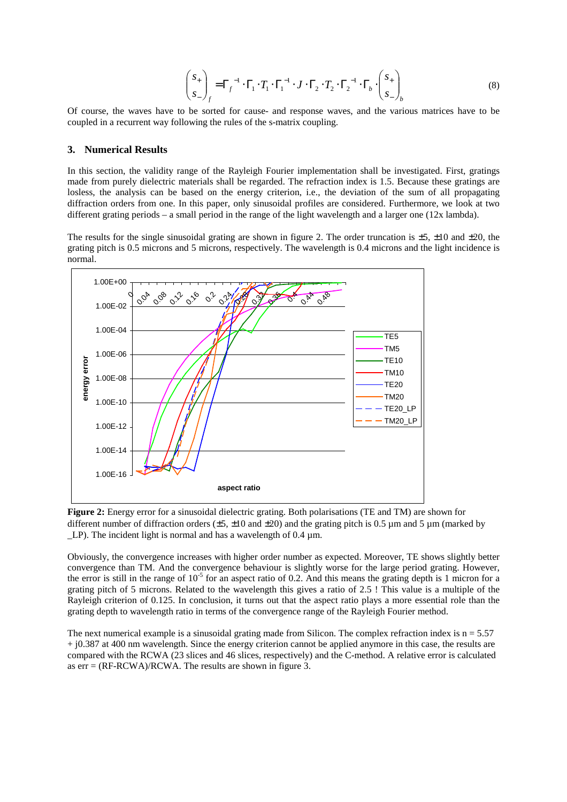$$
\begin{pmatrix} S_+ \\ S_- \end{pmatrix}_f = \Gamma_f^{-1} \cdot \Gamma_1 \cdot T_1 \cdot \Gamma_1^{-1} \cdot J \cdot \Gamma_2 \cdot T_2 \cdot \Gamma_2^{-1} \cdot \Gamma_b \cdot \begin{pmatrix} S_+ \\ S_- \end{pmatrix}_b \tag{8}
$$

Of course, the waves have to be sorted for cause- and response waves, and the various matrices have to be coupled in a recurrent way following the rules of the s-matrix coupling.

#### **3. Numerical Results**

In this section, the validity range of the Rayleigh Fourier implementation shall be investigated. First, gratings made from purely dielectric materials shall be regarded. The refraction index is 1.5. Because these gratings are losless, the analysis can be based on the energy criterion, i.e., the deviation of the sum of all propagating diffraction orders from one. In this paper, only sinusoidal profiles are considered. Furthermore, we look at two different grating periods – a small period in the range of the light wavelength and a larger one (12x lambda).

The results for the single sinusoidal grating are shown in figure 2. The order truncation is  $\pm 5$ ,  $\pm 10$  and  $\pm 20$ , the grating pitch is 0.5 microns and 5 microns, respectively. The wavelength is 0.4 microns and the light incidence is normal.



**Figure 2:** Energy error for a sinusoidal dielectric grating. Both polarisations (TE and TM) are shown for different number of diffraction orders ( $\pm$ 5,  $\pm$ 10 and  $\pm$ 20) and the grating pitch is 0.5 µm and 5 µm (marked by LP). The incident light is normal and has a wavelength of 0.4 µm.

Obviously, the convergence increases with higher order number as expected. Moreover, TE shows slightly better convergence than TM. And the convergence behaviour is slightly worse for the large period grating. However, the error is still in the range of  $10^{-5}$  for an aspect ratio of 0.2. And this means the grating depth is 1 micron for a grating pitch of 5 microns. Related to the wavelength this gives a ratio of 2.5 ! This value is a multiple of the Rayleigh criterion of 0.125. In conclusion, it turns out that the aspect ratio plays a more essential role than the grating depth to wavelength ratio in terms of the convergence range of the Rayleigh Fourier method.

The next numerical example is a sinusoidal grating made from Silicon. The complex refraction index is  $n = 5.57$ + j0.387 at 400 nm wavelength. Since the energy criterion cannot be applied anymore in this case, the results are compared with the RCWA (23 slices and 46 slices, respectively) and the C-method. A relative error is calculated as  $err = (RF-RCWA)/RCWA$ . The results are shown in figure 3.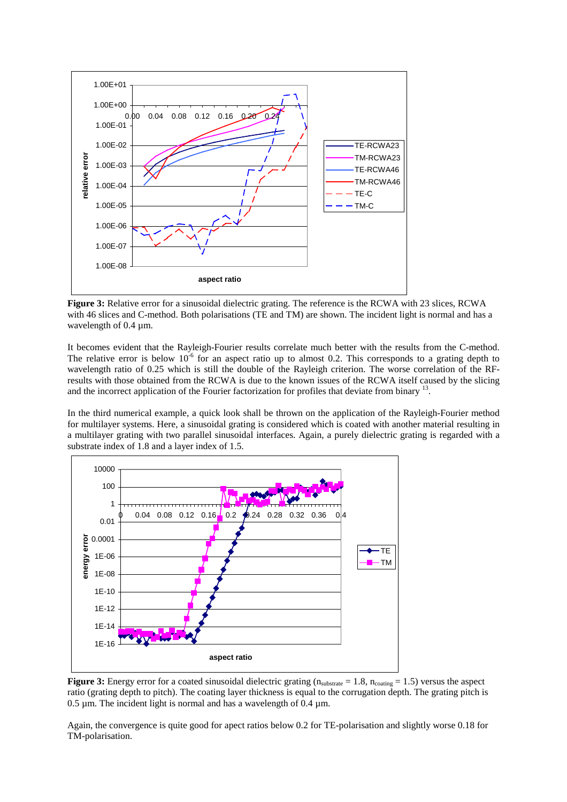

**Figure 3:** Relative error for a sinusoidal dielectric grating. The reference is the RCWA with 23 slices, RCWA with 46 slices and C-method. Both polarisations (TE and TM) are shown. The incident light is normal and has a wavelength of 0.4  $\mu$ m.

It becomes evident that the Rayleigh-Fourier results correlate much better with the results from the C-method. The relative error is below  $10^{-6}$  for an aspect ratio up to almost 0.2. This corresponds to a grating depth to wavelength ratio of 0.25 which is still the double of the Rayleigh criterion. The worse correlation of the RFresults with those obtained from the RCWA is due to the known issues of the RCWA itself caused by the slicing and the incorrect application of the Fourier factorization for profiles that deviate from binary  $^{13}$ .

In the third numerical example, a quick look shall be thrown on the application of the Rayleigh-Fourier method for multilayer systems. Here, a sinusoidal grating is considered which is coated with another material resulting in a multilayer grating with two parallel sinusoidal interfaces. Again, a purely dielectric grating is regarded with a substrate index of 1.8 and a layer index of 1.5.



**Figure 3:** Energy error for a coated sinusoidal dielectric grating  $(n_{substrate} = 1.8, n_{coating} = 1.5)$  versus the aspect ratio (grating depth to pitch). The coating layer thickness is equal to the corrugation depth. The grating pitch is 0.5  $\mu$ m. The incident light is normal and has a wavelength of 0.4  $\mu$ m.

Again, the convergence is quite good for apect ratios below 0.2 for TE-polarisation and slightly worse 0.18 for TM-polarisation.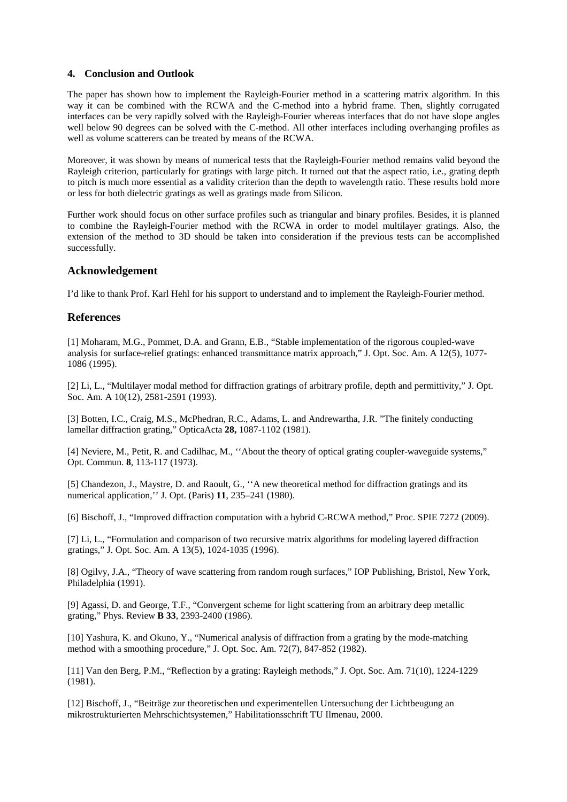## **4. Conclusion and Outlook**

The paper has shown how to implement the Rayleigh-Fourier method in a scattering matrix algorithm. In this way it can be combined with the RCWA and the C-method into a hybrid frame. Then, slightly corrugated interfaces can be very rapidly solved with the Rayleigh-Fourier whereas interfaces that do not have slope angles well below 90 degrees can be solved with the C-method. All other interfaces including overhanging profiles as well as volume scatterers can be treated by means of the RCWA.

Moreover, it was shown by means of numerical tests that the Rayleigh-Fourier method remains valid beyond the Rayleigh criterion, particularly for gratings with large pitch. It turned out that the aspect ratio, i.e., grating depth to pitch is much more essential as a validity criterion than the depth to wavelength ratio. These results hold more or less for both dielectric gratings as well as gratings made from Silicon.

Further work should focus on other surface profiles such as triangular and binary profiles. Besides, it is planned to combine the Rayleigh-Fourier method with the RCWA in order to model multilayer gratings. Also, the extension of the method to 3D should be taken into consideration if the previous tests can be accomplished successfully.

# **Acknowledgement**

I'd like to thank Prof. Karl Hehl for his support to understand and to implement the Rayleigh-Fourier method.

## **References**

[1] Moharam, M.G., Pommet, D.A. and Grann, E.B., "Stable implementation of the rigorous coupled-wave analysis for surface-relief gratings: enhanced transmittance matrix approach," J. Opt. Soc. Am. A 12(5), 1077- 1086 (1995).

[2] Li, L., "Multilayer modal method for diffraction gratings of arbitrary profile, depth and permittivity," J. Opt. Soc. Am. A 10(12), 2581-2591 (1993).

[3] Botten, I.C., Craig, M.S., McPhedran, R.C., Adams, L. and Andrewartha, J.R. "The finitely conducting lamellar diffraction grating," OpticaActa **28,** 1087-1102 (1981).

[4] Neviere, M., Petit, R. and Cadilhac, M., ''About the theory of optical grating coupler-waveguide systems," Opt. Commun. **8**, 113-117 (1973).

[5] Chandezon, J., Maystre, D. and Raoult, G., ''A new theoretical method for diffraction gratings and its numerical application,'' J. Opt. (Paris) **11**, 235–241 (1980).

[6] Bischoff, J., "Improved diffraction computation with a hybrid C-RCWA method," Proc. SPIE 7272 (2009).

[7] Li, L., "Formulation and comparison of two recursive matrix algorithms for modeling layered diffraction gratings," J. Opt. Soc. Am. A 13(5), 1024-1035 (1996).

[8] Ogilvy, J.A., "Theory of wave scattering from random rough surfaces," IOP Publishing, Bristol, New York, Philadelphia (1991).

[9] Agassi, D. and George, T.F., "Convergent scheme for light scattering from an arbitrary deep metallic grating," Phys. Review **B 33**, 2393-2400 (1986).

[10] Yashura, K. and Okuno, Y., "Numerical analysis of diffraction from a grating by the mode-matching method with a smoothing procedure," J. Opt. Soc. Am. 72(7), 847-852 (1982).

[11] Van den Berg, P.M., "Reflection by a grating: Rayleigh methods," J. Opt. Soc. Am. 71(10), 1224-1229 (1981).

[12] Bischoff, J., "Beiträge zur theoretischen und experimentellen Untersuchung der Lichtbeugung an mikrostrukturierten Mehrschichtsystemen," Habilitationsschrift TU Ilmenau, 2000.